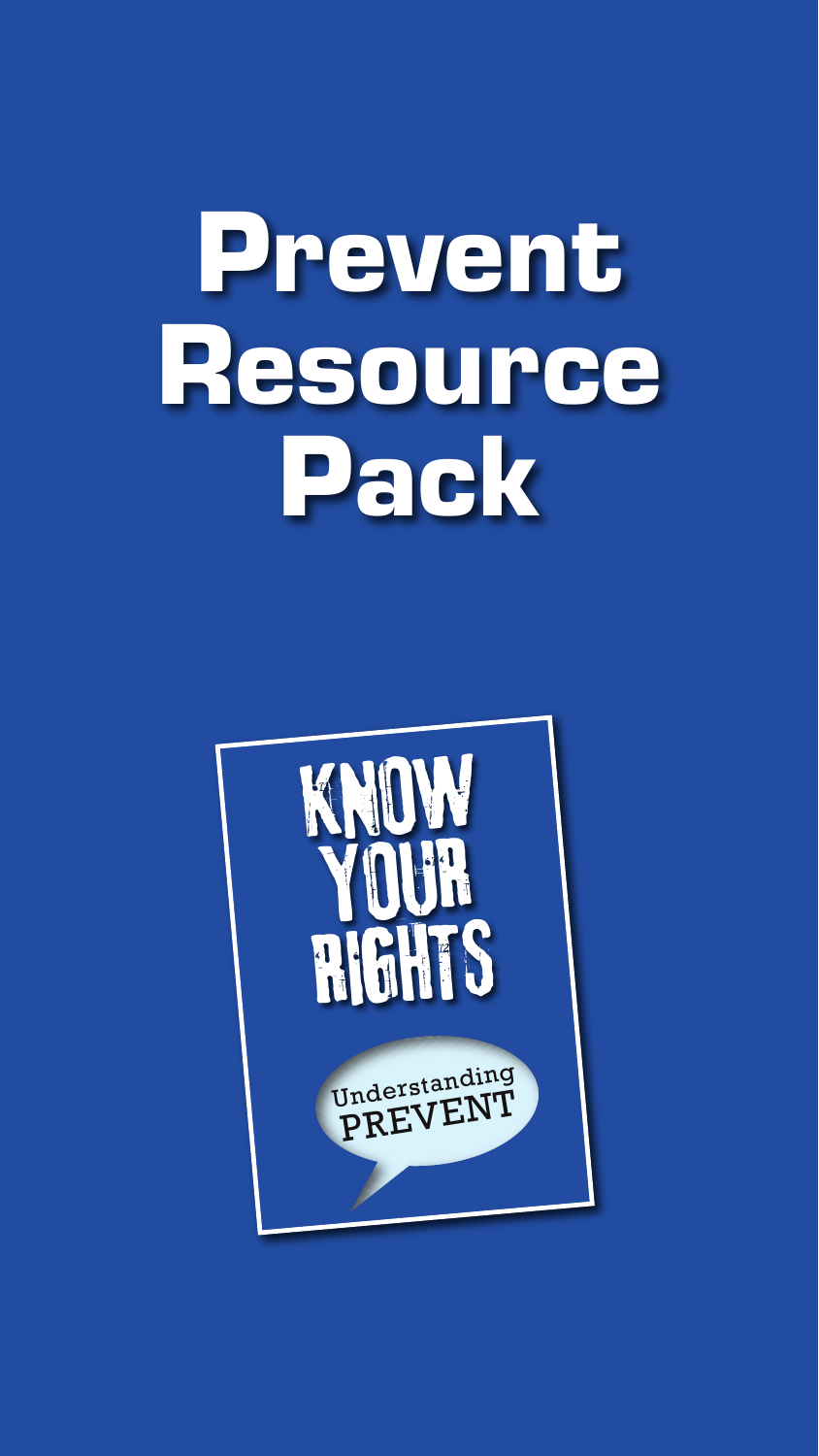# **Prevent Resource Pack**

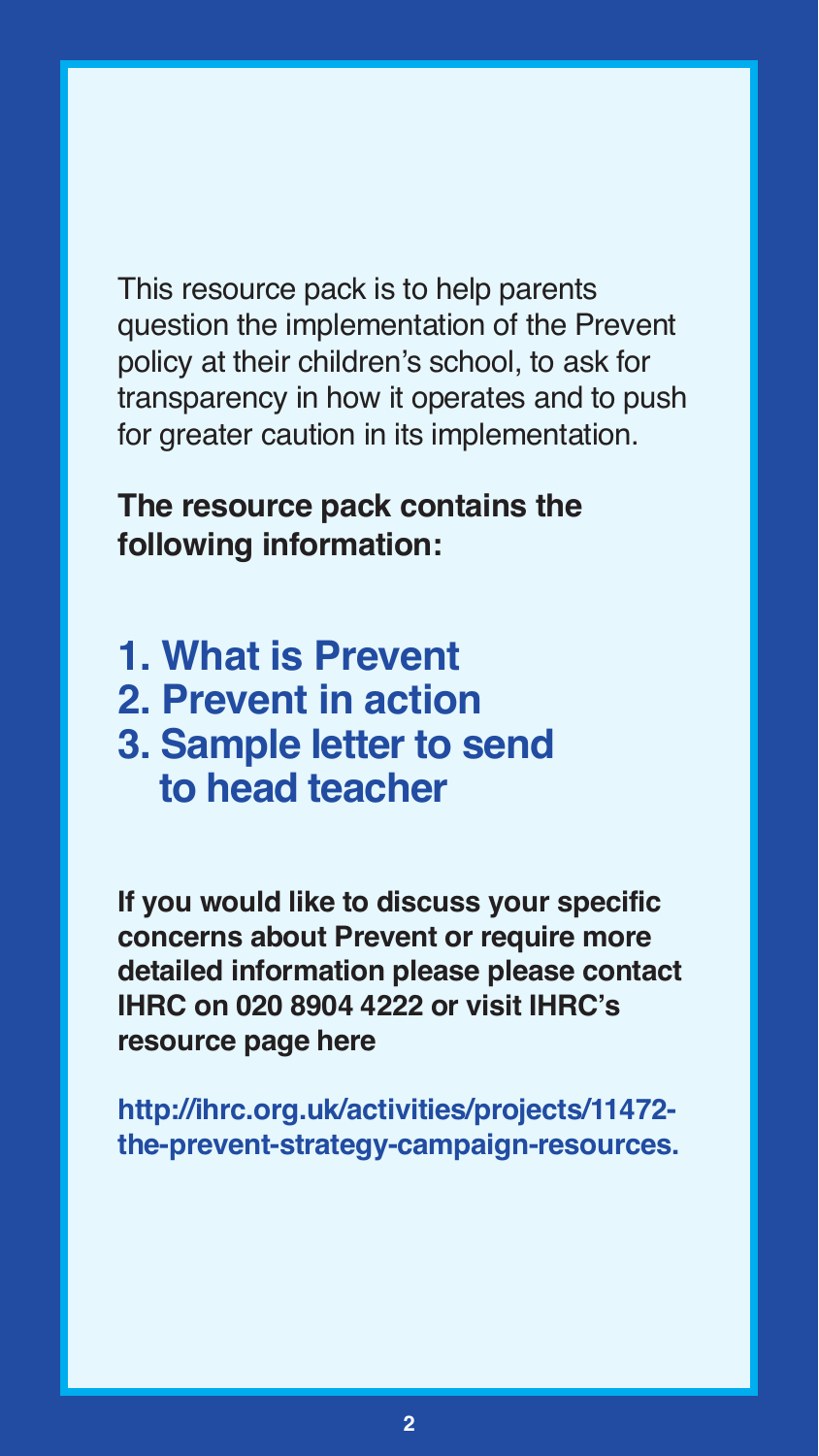This resource pack is to help parents question the implementation of the Prevent policy at their children's school, to ask for transparency in how it operates and to push for greater caution in its implementation.

**The resource pack contains the following information:**

- **1. What is Prevent**
- **2. Prevent in action**
- **3. Sample letter to send to head teacher**

**If you would like to discuss your specific concerns about Prevent or require more detailed information please please contact IHRC on 020 8904 4222 or visit IHRC's resource page here**

**[http://ihrc.org.uk/activities/projects/11472](http://ihrc.org.uk/activities/projects/11472-the-prevent-strategy-campaign-resources) [the-prevent-strategy-campaign-resources.](http://ihrc.org.uk/activities/projects/11472-the-prevent-strategy-campaign-resources)**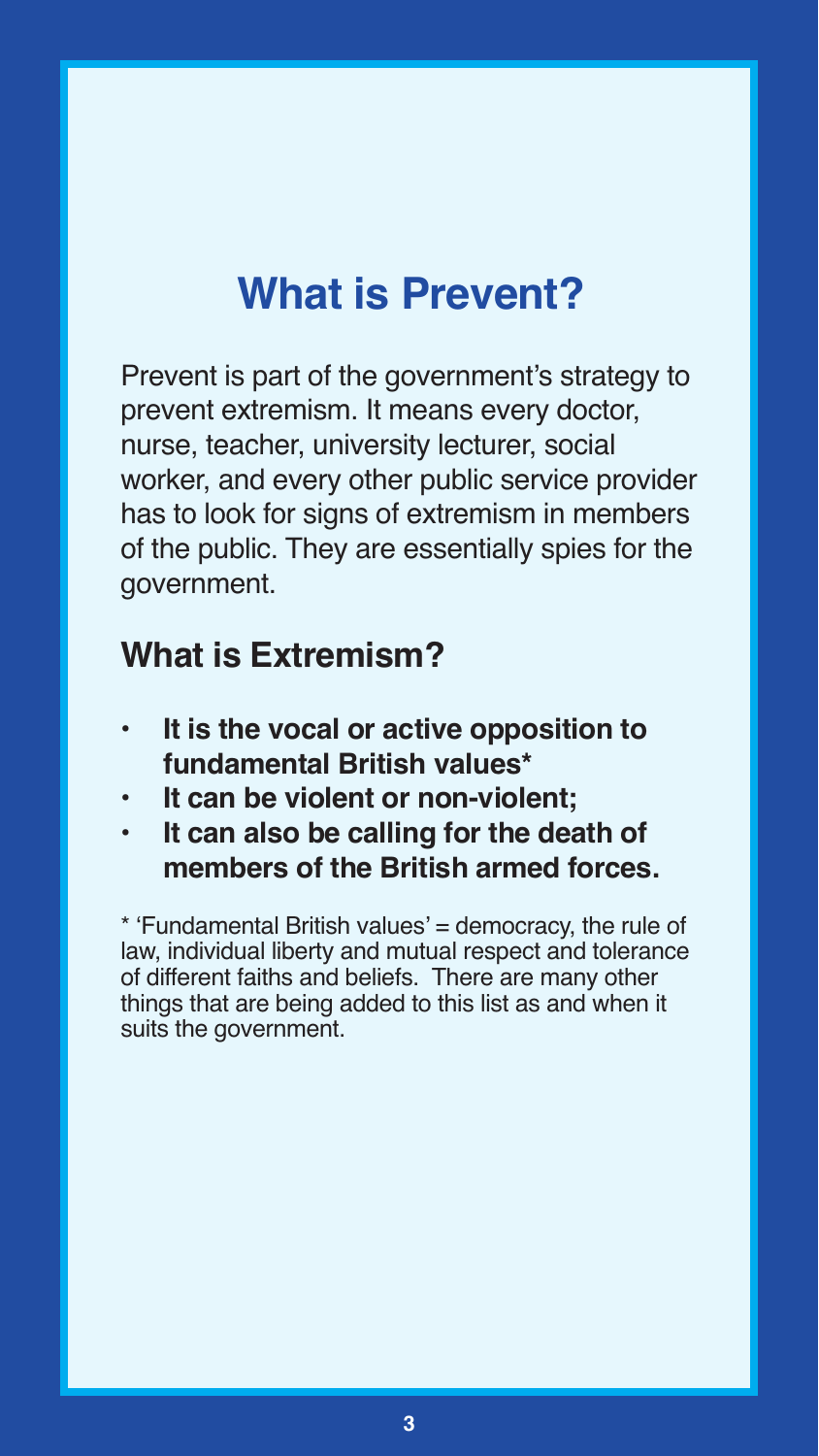# **What is Prevent?**

Prevent is part of the government's strategy to prevent extremism. It means every doctor, nurse, teacher, university lecturer, social worker, and every other public service provider has to look for signs of extremism in members of the public. They are essentially spies for the government.

### **What is Extremism?**

- **• It is the vocal or active opposition to fundamental British values\***
- **• It can be violent or non-violent;**
- **• It can also be calling for the death of members of the British armed forces.**

\* 'Fundamental British values' = democracy, the rule of law, individual liberty and mutual respect and tolerance of different faiths and beliefs. There are many other things that are being added to this list as and when it suits the government.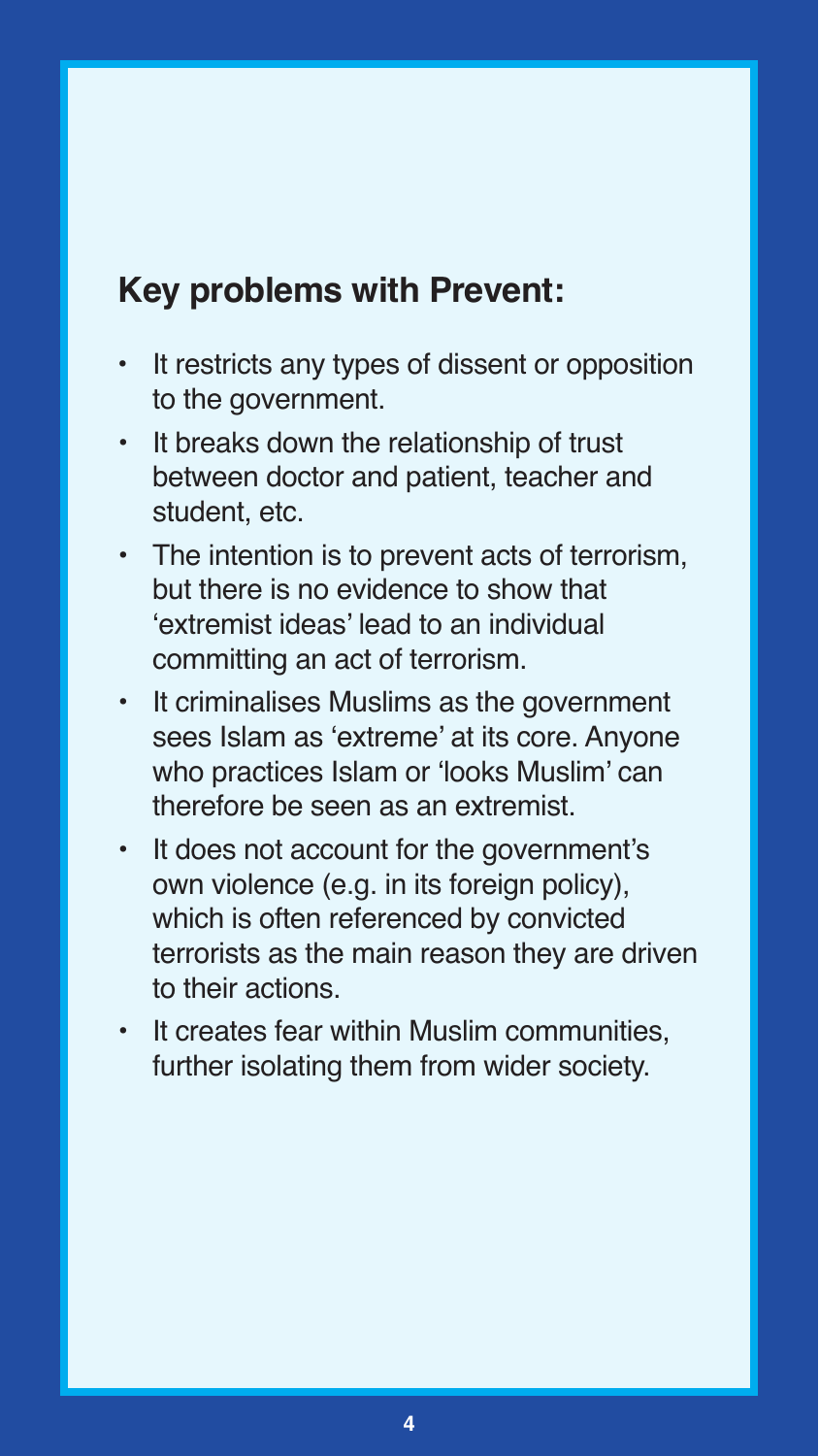## **Key problems with Prevent:**

- **•** It restricts any types of dissent or opposition to the government.
- It breaks down the relationship of trust between doctor and patient, teacher and student, etc.
- The intention is to prevent acts of terrorism, but there is no evidence to show that 'extremist ideas' lead to an individual committing an act of terrorism.
- It criminalises Muslims as the government sees Islam as 'extreme' at its core. Anyone who practices Islam or 'looks Muslim' can therefore be seen as an extremist.
- It does not account for the government's own violence (e.g. in its foreign policy), which is often referenced by convicted terrorists as the main reason they are driven to their actions.
- It creates fear within Muslim communities, further isolating them from wider society.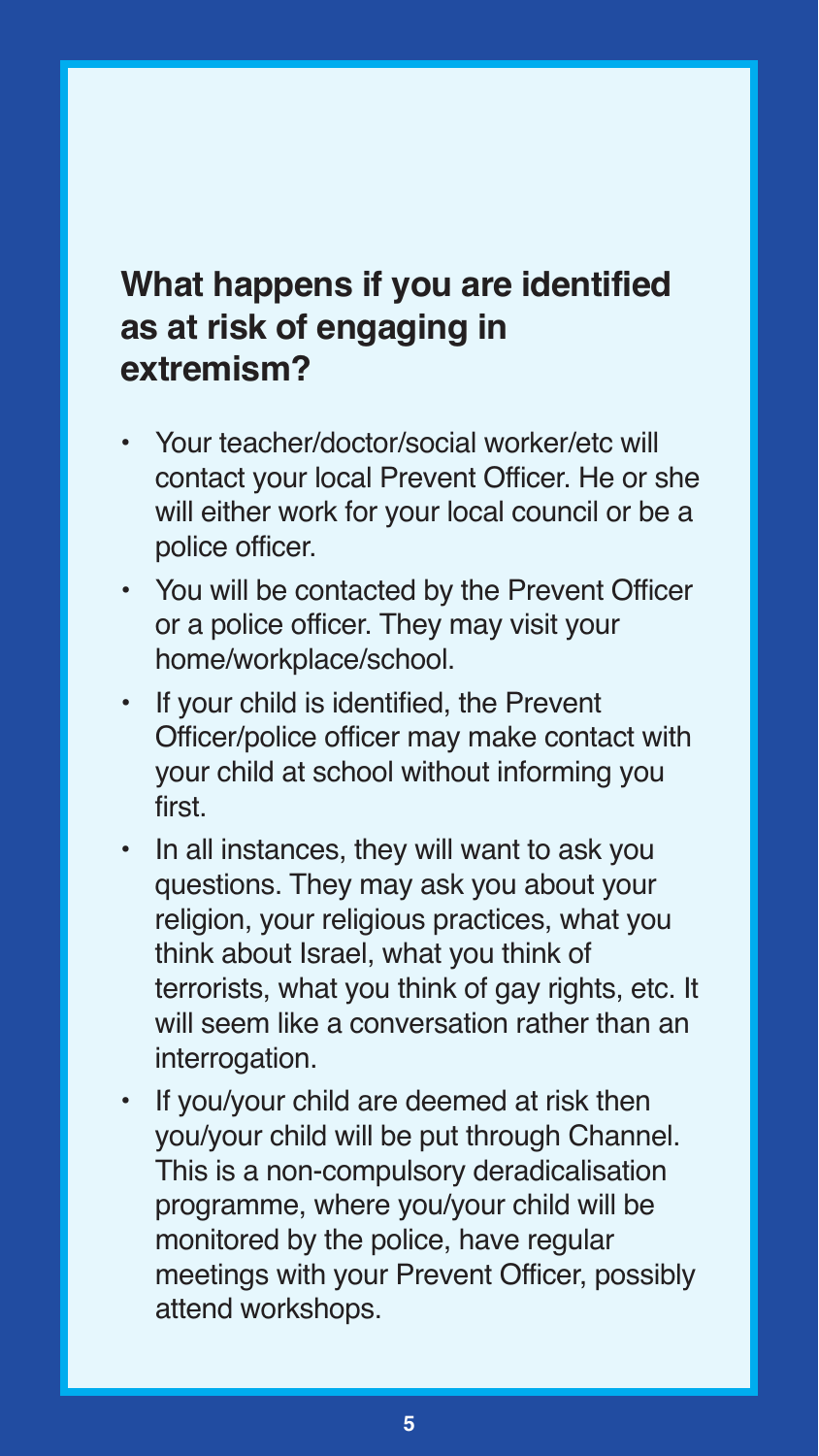## **What happens if you are identified as at risk of engaging in extremism?**

- **•** Your teacher/doctor/social worker/etc will contact your local Prevent Officer. He or she will either work for your local council or be a police officer.
- You will be contacted by the Prevent Officer or a police officer. They may visit your home/workplace/school.
- If your child is identified, the Prevent Officer/police officer may make contact with your child at school without informing you first.
- In all instances, they will want to ask you questions. They may ask you about your religion, your religious practices, what you think about Israel, what you think of terrorists, what you think of gay rights, etc. It will seem like a conversation rather than an interrogation.
- If you/your child are deemed at risk then you/your child will be put through Channel. This is a non-compulsory deradicalisation programme, where you/your child will be monitored by the police, have regular meetings with your Prevent Officer, possibly attend workshops.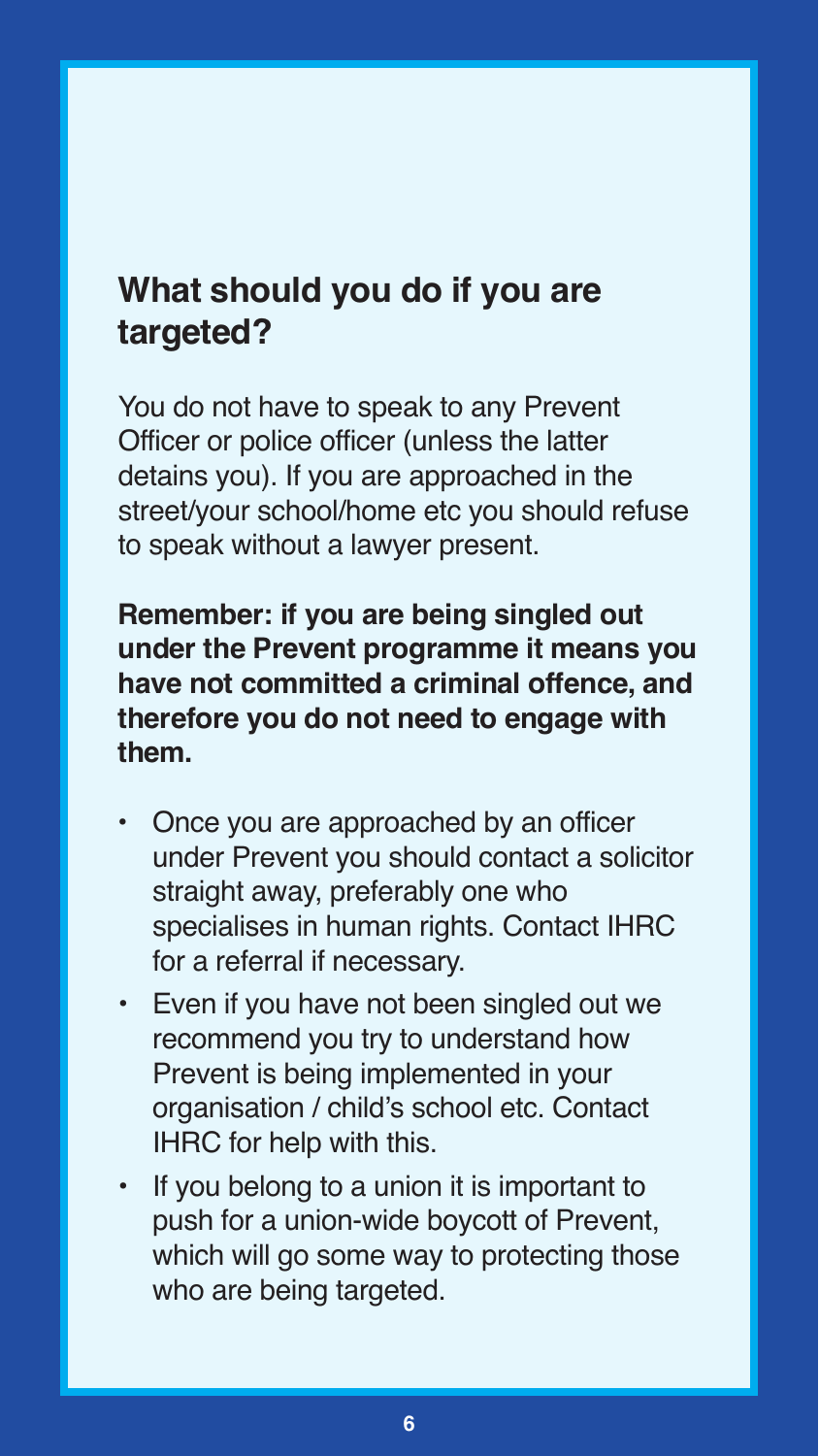## **What should you do if you are targeted?**

You do not have to speak to any Prevent Officer or police officer (unless the latter detains you). If you are approached in the street/your school/home etc you should refuse to speak without a lawyer present.

**Remember: if you are being singled out under the Prevent programme it means you have not committed a criminal offence, and therefore you do not need to engage with them.**

- **•** Once you are approached by an officer under Prevent you should contact a solicitor straight away, preferably one who specialises in human rights. Contact IHRC for a referral if necessary.
- Even if you have not been singled out we recommend you try to understand how Prevent is being implemented in your organisation / child's school etc. Contact IHRC for help with this.
- If you belong to a union it is important to push for a union-wide boycott of Prevent, which will go some way to protecting those who are being targeted.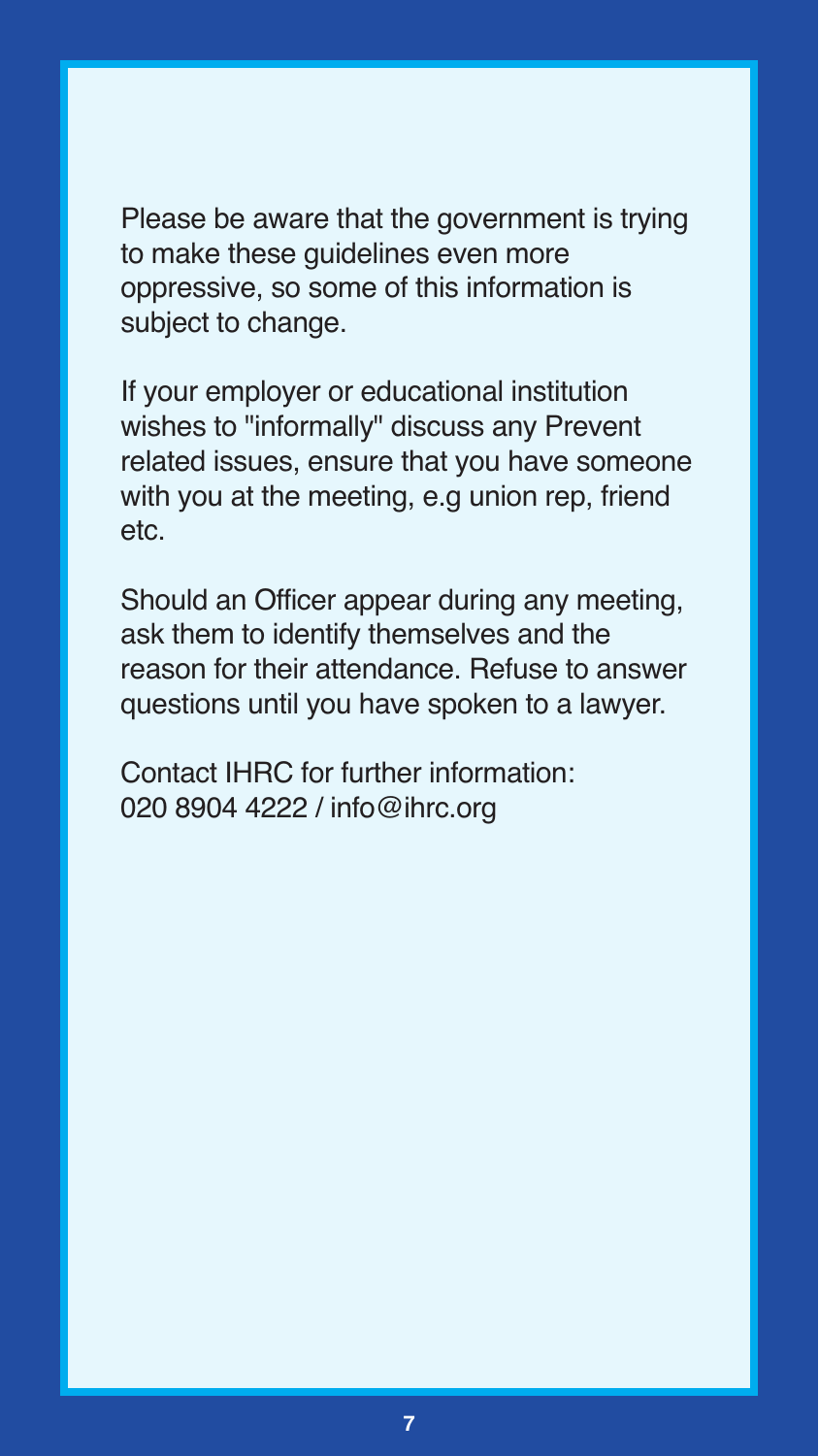Please be aware that the government is trying to make these guidelines even more oppressive, so some of this information is subject to change.

If your employer or educational institution wishes to "informally" discuss any Prevent related issues, ensure that you have someone with you at the meeting, e.g union rep, friend etc.

Should an Officer appear during any meeting, ask them to identify themselves and the reason for their attendance. Refuse to answer questions until you have spoken to a lawyer.

Contact IHRC for further information: 020 8904 4222 / info@ihrc.org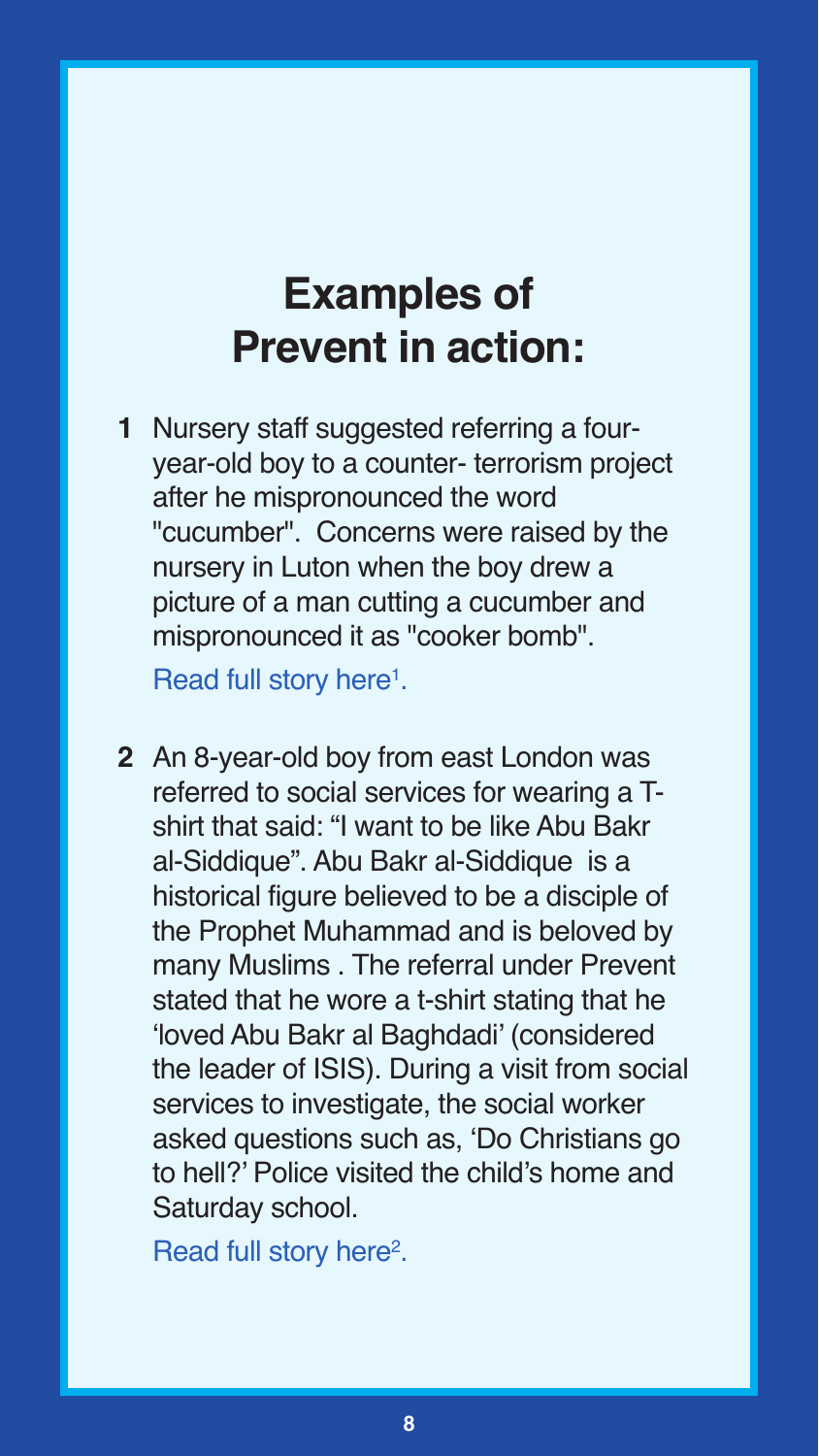# **Examples of Prevent in action:**

**1** Nursery staff suggested referring a fouryear-old boy to a counter- terrorism project after he mispronounced the word "cucumber". Concerns were raised by the nursery in Luton when the boy drew a picture of a man cutting a cucumber and mispronounced it as "cooker bomb".

Read full story [here1.](http://www.independent.co.uk/news/uk/home-news/four-year-old-raises-concerns-of-radicalisation-after-pronouncing-cucumber-as-cooker-bomb-a6927341.html)

**2** An 8-year-old boy from east London was referred to social services for wearing a Tshirt that said: "I want to be like Abu Bakr al-Siddique". Abu Bakr al-Siddique is a historical figure believed to be a disciple of the Prophet Muhammad and is beloved by many Muslims . The referral under Prevent stated that he wore a t-shirt stating that he 'loved Abu Bakr al Baghdadi' (considered the leader of ISIS). During a visit from social services to investigate, the social worker asked questions such as, 'Do Christians go to hell?' Police visited the child's home and Saturday school.

Read full story [here2.](https://www.buzzfeed.com/sirajdatoo/prevent-strategy-is-violating-childrens-human-rights-report?utm_term=.gbyd18y79p#.dpn7b4lyWr)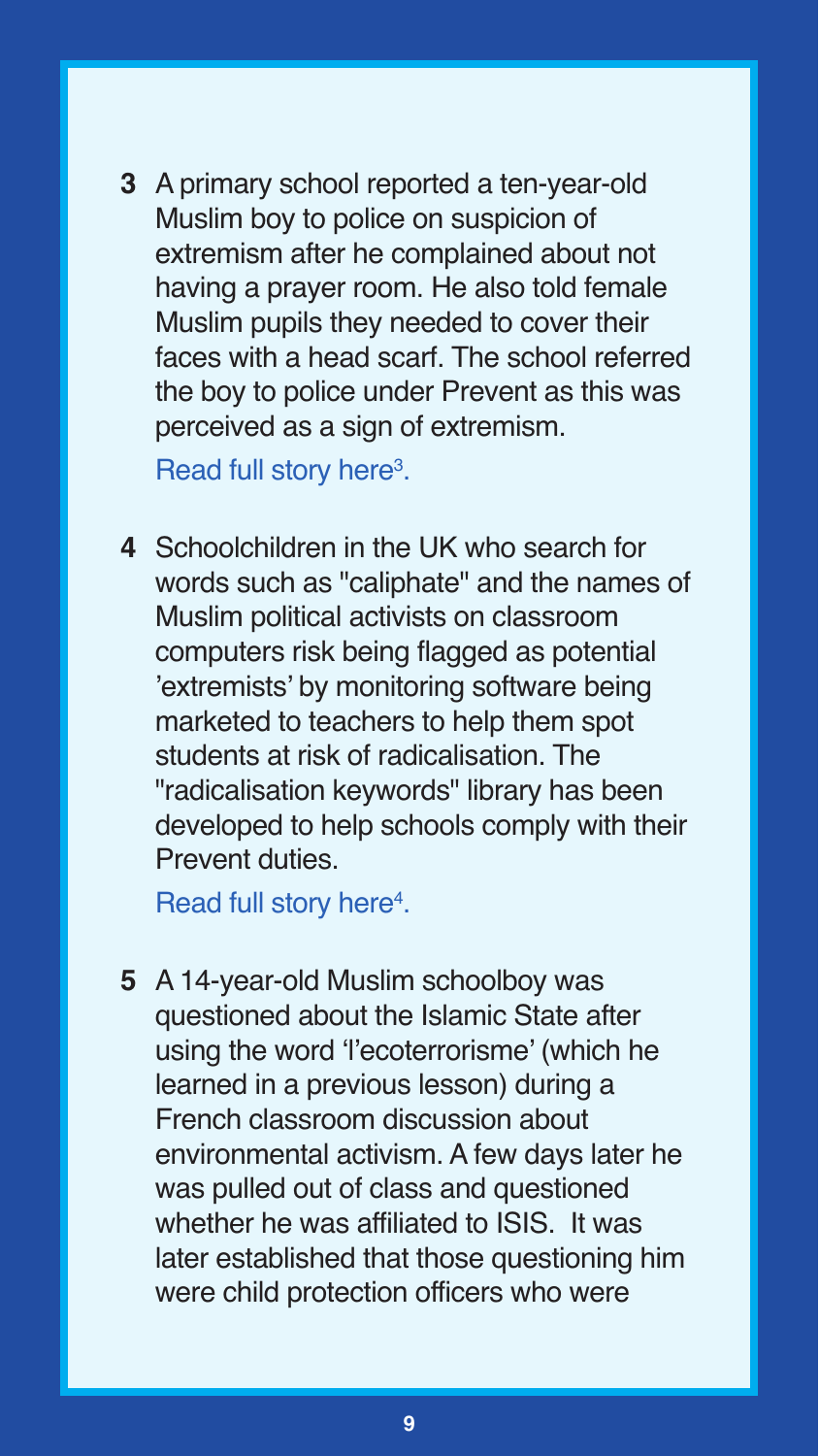**3** A primary school reported a ten-year-old Muslim boy to police on suspicion of extremism after he complained about not having a prayer room. He also told female Muslim pupils they needed to cover their faces with a head scarf. The school referred the boy to police under Prevent as this was perceived as a sign of extremism.

Read full story [here3.](http://www.telegraph.co.uk/news/uknews/terrorism-in-the-uk/11927303/Teachers-extremist-fears-over-boy-10-after-he-complains-about-lack-of-prayer-room.html)

**4** Schoolchildren in the UK who search for words such as "caliphate" and the names of Muslim political activists on classroom computers risk being flagged as potential 'extremists' by monitoring software being marketed to teachers to help them spot students at risk of radicalisation. The "radicalisation keywords" library has been developed to help schools comply with their Prevent duties.

Read full story [here4.](http://www.aljazeera.com/indepth/features/2015/10/uk-keyword-warning-software-schools-raises-red-flag-151004081940435.html)

**5** A 14-year-old Muslim schoolboy was questioned about the Islamic State after using the word 'l'ecoterrorisme' (which he learned in a previous lesson) during a French classroom discussion about environmental activism. A few days later he was pulled out of class and questioned whether he was affiliated to ISIS. It was later established that those questioning him were child protection officers who were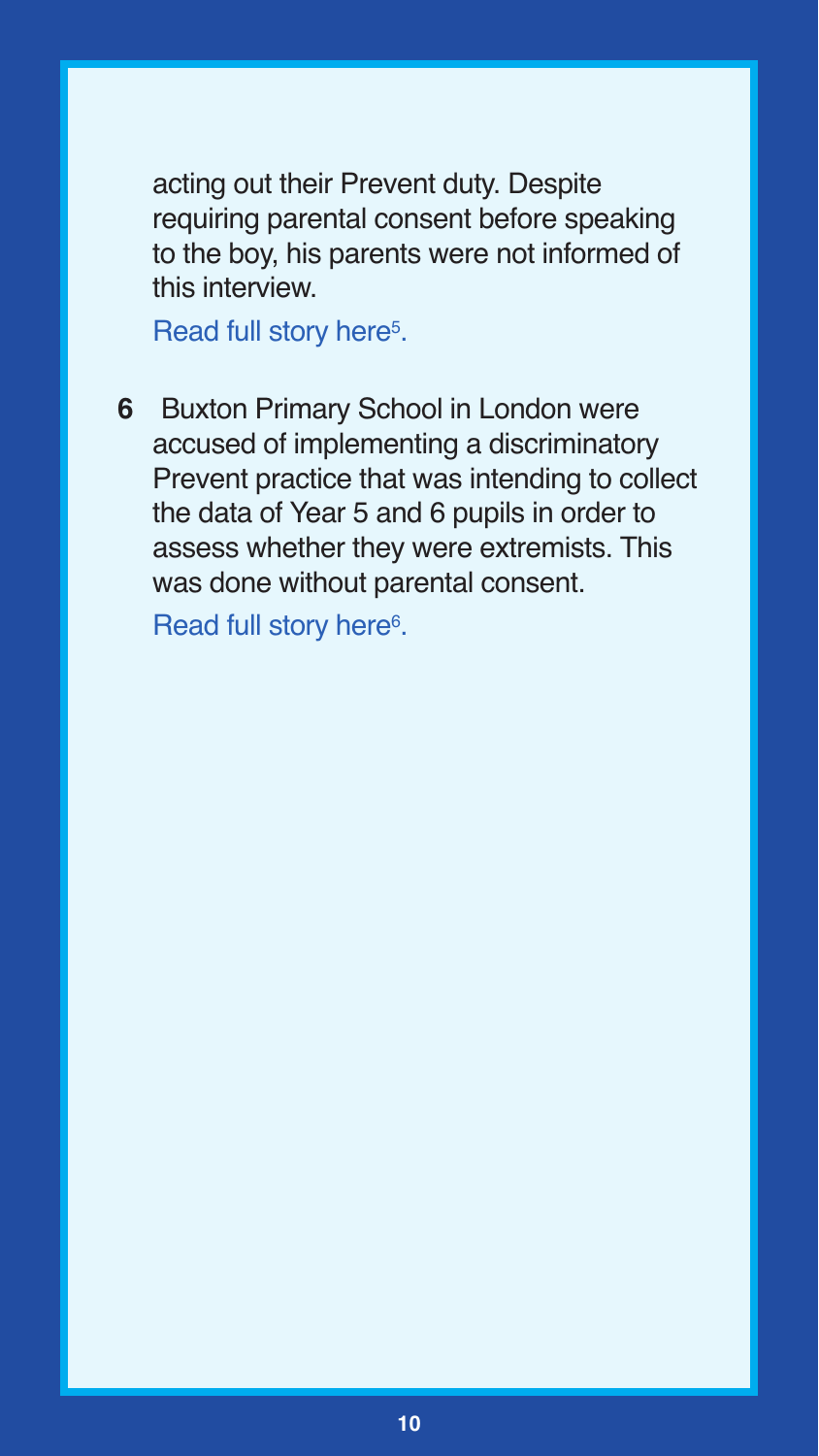acting out their Prevent duty. Despite requiring parental consent before speaking to the boy, his parents were not informed of this interview.

Read full story here<sup>5</sup>.

**6** Buxton Primary School in London were accused of implementing a discriminatory Prevent practice that was intending to collect the data of Year 5 and 6 pupils in order to assess whether they were extremists. This was done without parental consent.

Read full story here<sup>6</sup>.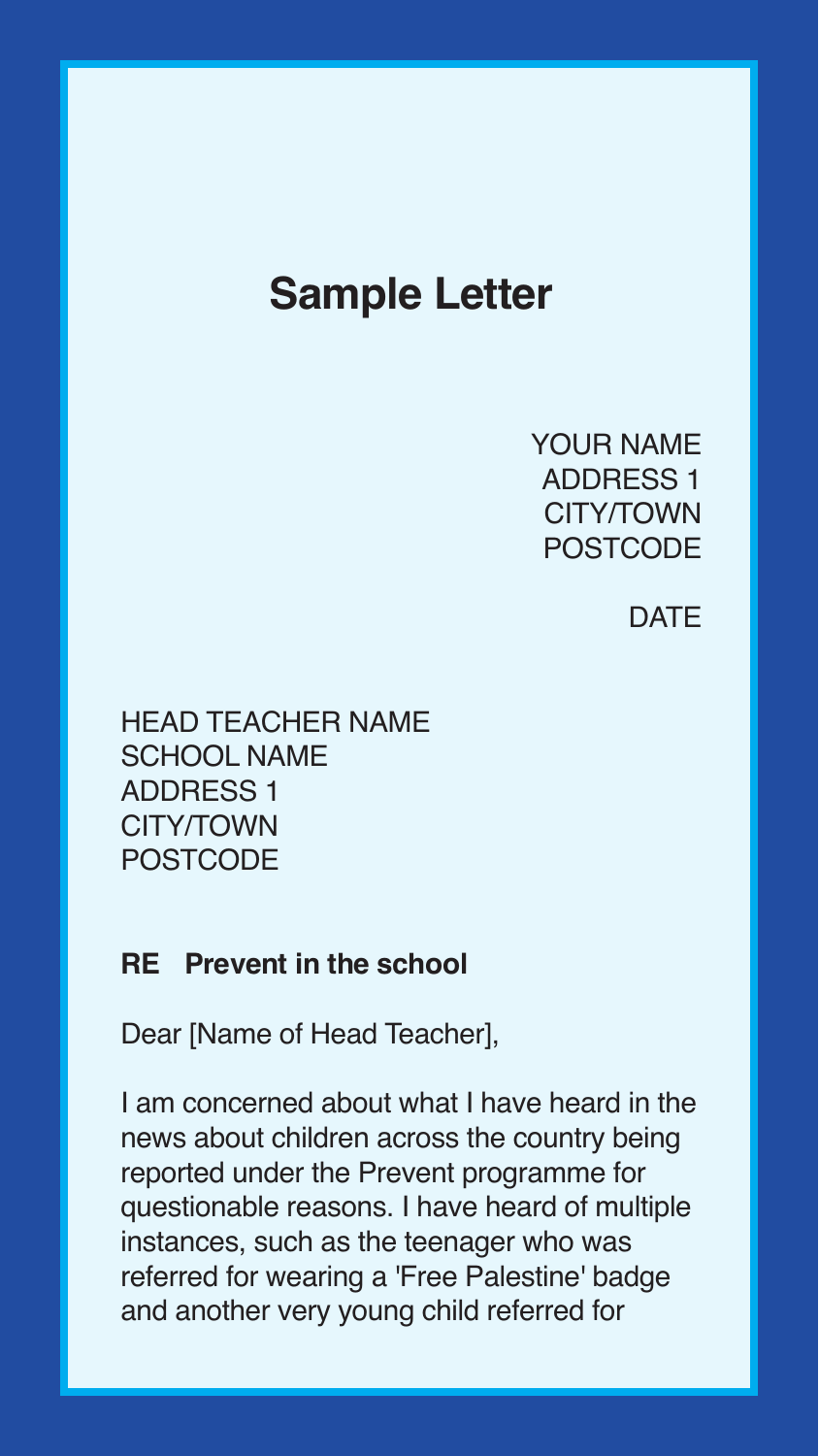## **Sample Letter**

YOUR NAME ADDRESS 1 CITY/TOWN POSTCODE

#### **DATE**

HEAD TEACHER NAME SCHOOL NAME ADDRESS 1 CITY/TOWN **POSTCODE** 

#### **RE Prevent in the school**

Dear [Name of Head Teacher],

I am concerned about what I have heard in the news about children across the country being reported under the Prevent programme for questionable reasons. I have heard of multiple instances, such as the teenager who was referred for wearing a 'Free Palestine' badge and another very young child referred for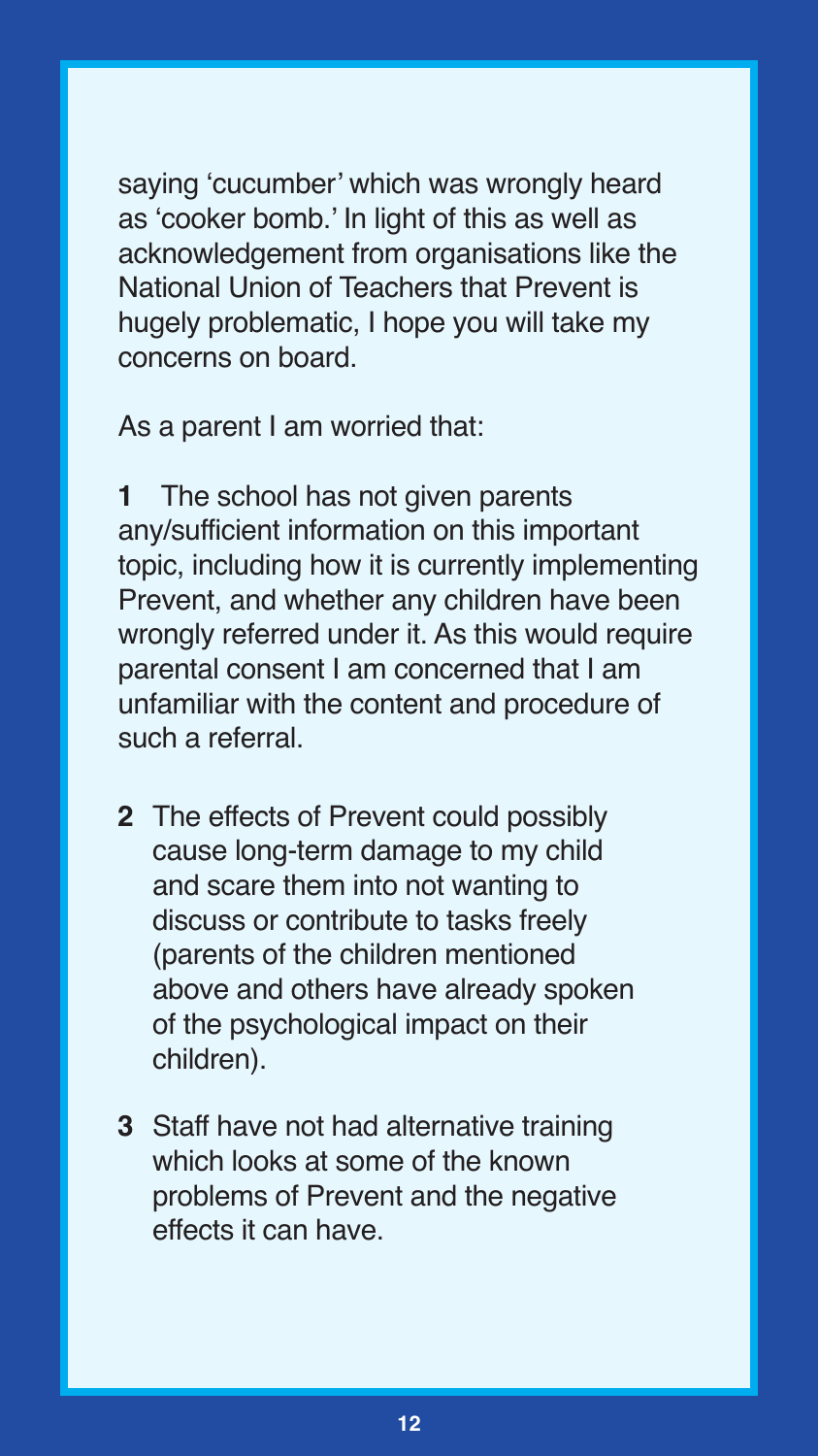saying 'cucumber' which was wrongly heard as 'cooker bomb.' In light of this as well as acknowledgement from organisations like the National Union of Teachers that Prevent is hugely problematic, I hope you will take my concerns on board.

As a parent I am worried that:

**1** The school has not given parents any/sufficient information on this important topic, including how it is currently implementing Prevent, and whether any children have been wrongly referred under it. As this would require parental consent I am concerned that I am unfamiliar with the content and procedure of such a referral.

- **2** The effects of Prevent could possibly cause long-term damage to my child and scare them into not wanting to discuss or contribute to tasks freely (parents of the children mentioned above and others have already spoken of the psychological impact on their children).
- **3** Staff have not had alternative training which looks at some of the known problems of Prevent and the negative effects it can have.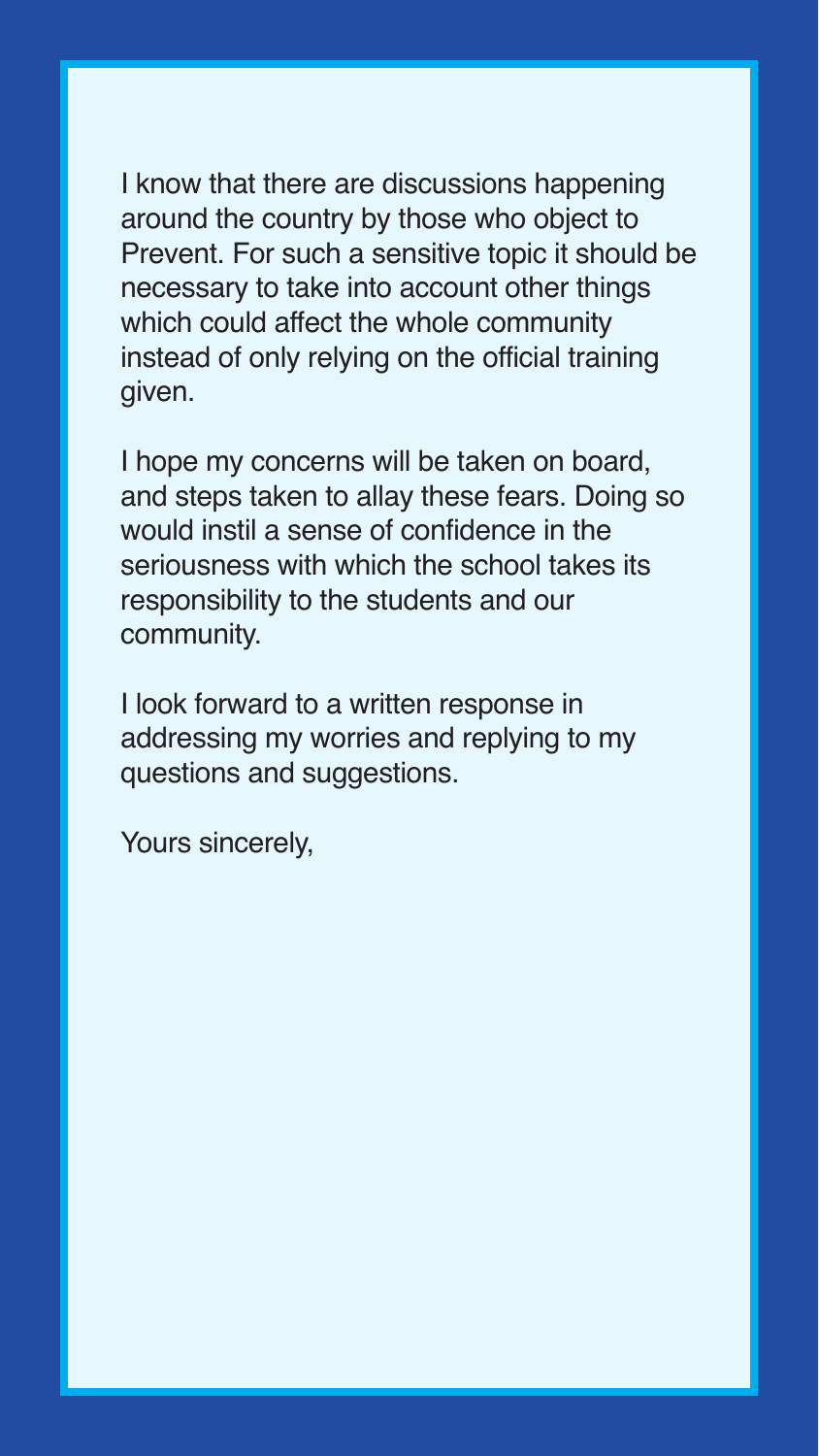I know that there are discussions happening around the country by those who object to Prevent. For such a sensitive topic it should be necessary to take into account other things which could affect the whole community instead of only relying on the official training given.

I hope my concerns will be taken on board, and steps taken to allay these fears. Doing so would instil a sense of confidence in the seriousness with which the school takes its responsibility to the students and our community.

I look forward to a written response in addressing my worries and replying to my questions and suggestions.

Yours sincerely,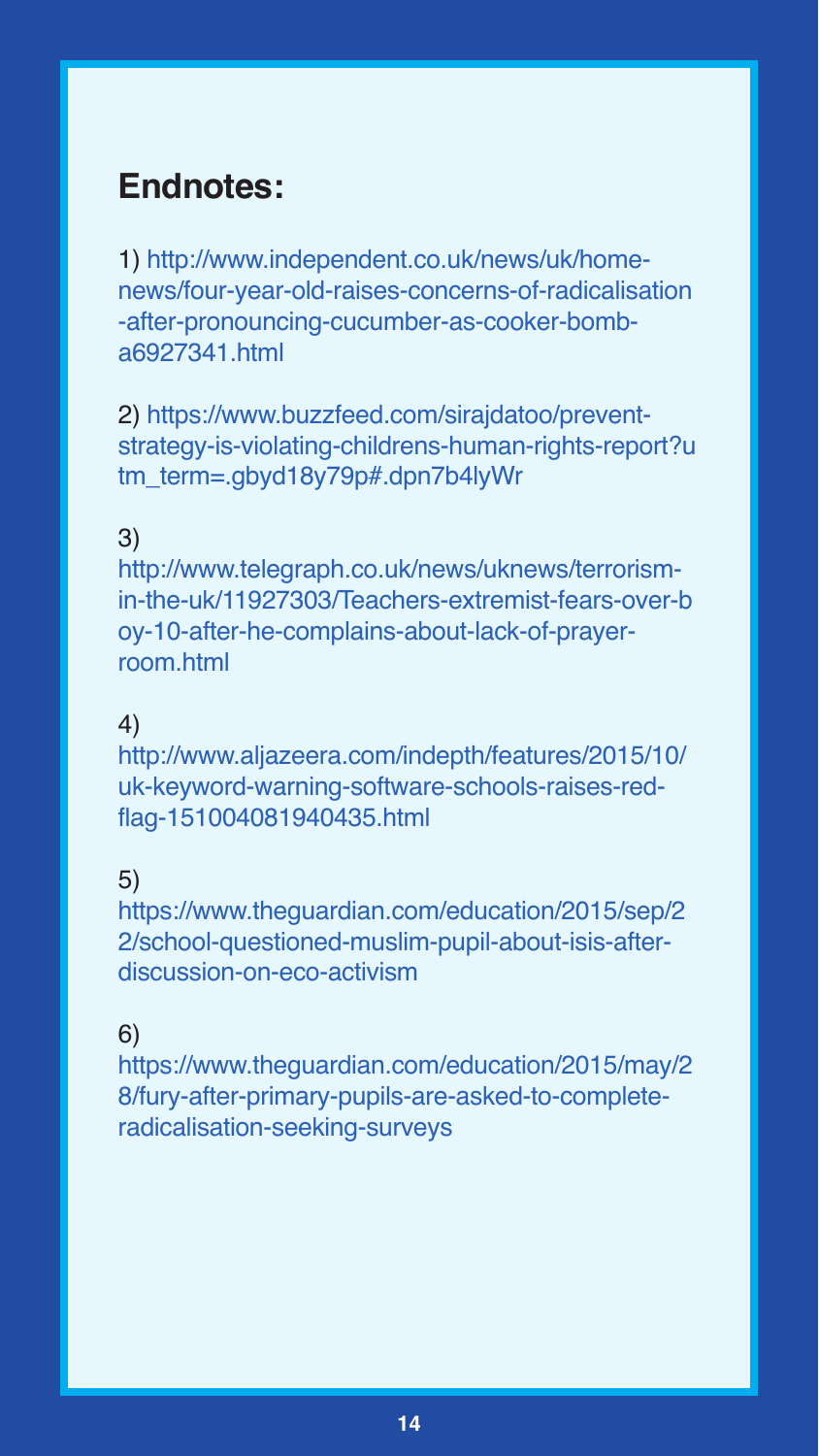## **Endnotes:**

1) http://www.independent.co.uk/news/uk/homenews/four-year-old-raises-concerns-of-radicalisation -after-pronouncing-cucumber-as-cooker-bomba6927341.html

2) https://www.buzzfeed.com/sirajdatoo/preventstrategy-is-violating-childrens-human-rights-report?u tm\_term=.gbyd18y79p#.dpn7b4lyWr

#### 3)

http://www.telegraph.co.uk/news/uknews/terrorismin-the-uk/11927303/Teachers-extremist-fears-over-b oy-10-after-he-complains-about-lack-of-prayerroom.html

#### 4)

http://www.aljazeera.com/indepth/features/2015/10/ uk-keyword-warning-software-schools-raises-redflag-151004081940435.html

#### 5)

https://www.theguardian.com/education/2015/sep/2 2/school-questioned-muslim-pupil-about-isis-afterdiscussion-on-eco-activism

#### 6)

https://www.theguardian.com/education/2015/may/2 8/fury-after-primary-pupils-are-asked-to-completeradicalisation-seeking-surveys